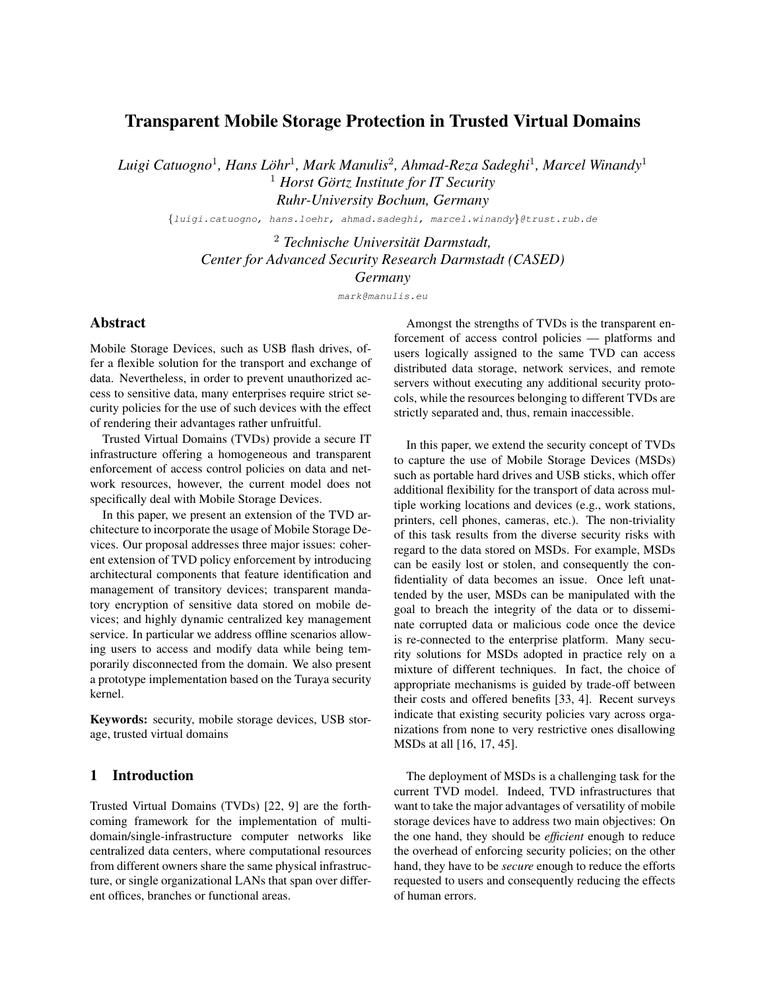# Transparent Mobile Storage Protection in Trusted Virtual Domains

 $L$ uigi Catuogno<sup>1</sup>, Hans Löhr<sup>1</sup>, Mark Manulis<sup>2</sup>, Ahmad-Reza Sadeghi<sup>1</sup>, Marcel Winandy<sup>1</sup> <sup>1</sup> Horst Görtz Institute for IT Security *Ruhr-University Bochum, Germany*

{luigi.catuogno, hans.loehr, ahmad.sadeghi, marcel.winandy}@trust.rub.de

<sup>2</sup> *Technische Universitat Darmstadt, ¨ Center for Advanced Security Research Darmstadt (CASED) Germany*

mark@manulis.eu

# Abstract

Mobile Storage Devices, such as USB flash drives, offer a flexible solution for the transport and exchange of data. Nevertheless, in order to prevent unauthorized access to sensitive data, many enterprises require strict security policies for the use of such devices with the effect of rendering their advantages rather unfruitful.

Trusted Virtual Domains (TVDs) provide a secure IT infrastructure offering a homogeneous and transparent enforcement of access control policies on data and network resources, however, the current model does not specifically deal with Mobile Storage Devices.

In this paper, we present an extension of the TVD architecture to incorporate the usage of Mobile Storage Devices. Our proposal addresses three major issues: coherent extension of TVD policy enforcement by introducing architectural components that feature identification and management of transitory devices; transparent mandatory encryption of sensitive data stored on mobile devices; and highly dynamic centralized key management service. In particular we address offline scenarios allowing users to access and modify data while being temporarily disconnected from the domain. We also present a prototype implementation based on the Turaya security kernel.

Keywords: security, mobile storage devices, USB storage, trusted virtual domains

# 1 Introduction

Trusted Virtual Domains (TVDs) [22, 9] are the forthcoming framework for the implementation of multidomain/single-infrastructure computer networks like centralized data centers, where computational resources from different owners share the same physical infrastructure, or single organizational LANs that span over different offices, branches or functional areas.

Amongst the strengths of TVDs is the transparent enforcement of access control policies — platforms and users logically assigned to the same TVD can access distributed data storage, network services, and remote servers without executing any additional security protocols, while the resources belonging to different TVDs are strictly separated and, thus, remain inaccessible.

In this paper, we extend the security concept of TVDs to capture the use of Mobile Storage Devices (MSDs) such as portable hard drives and USB sticks, which offer additional flexibility for the transport of data across multiple working locations and devices (e.g., work stations, printers, cell phones, cameras, etc.). The non-triviality of this task results from the diverse security risks with regard to the data stored on MSDs. For example, MSDs can be easily lost or stolen, and consequently the confidentiality of data becomes an issue. Once left unattended by the user, MSDs can be manipulated with the goal to breach the integrity of the data or to disseminate corrupted data or malicious code once the device is re-connected to the enterprise platform. Many security solutions for MSDs adopted in practice rely on a mixture of different techniques. In fact, the choice of appropriate mechanisms is guided by trade-off between their costs and offered benefits [33, 4]. Recent surveys indicate that existing security policies vary across organizations from none to very restrictive ones disallowing MSDs at all [16, 17, 45].

The deployment of MSDs is a challenging task for the current TVD model. Indeed, TVD infrastructures that want to take the major advantages of versatility of mobile storage devices have to address two main objectives: On the one hand, they should be *efficient* enough to reduce the overhead of enforcing security policies; on the other hand, they have to be *secure* enough to reduce the efforts requested to users and consequently reducing the effects of human errors.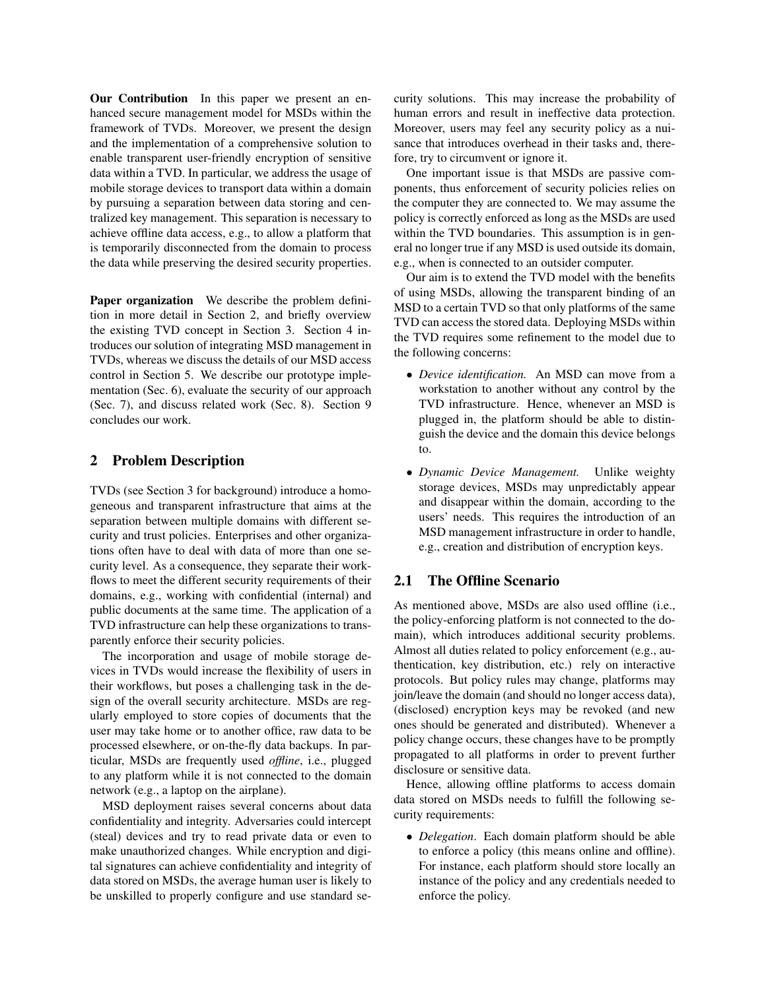Our Contribution In this paper we present an enhanced secure management model for MSDs within the framework of TVDs. Moreover, we present the design and the implementation of a comprehensive solution to enable transparent user-friendly encryption of sensitive data within a TVD. In particular, we address the usage of mobile storage devices to transport data within a domain by pursuing a separation between data storing and centralized key management. This separation is necessary to achieve offline data access, e.g., to allow a platform that is temporarily disconnected from the domain to process the data while preserving the desired security properties.

Paper organization We describe the problem definition in more detail in Section 2, and briefly overview the existing TVD concept in Section 3. Section 4 introduces our solution of integrating MSD management in TVDs, whereas we discuss the details of our MSD access control in Section 5. We describe our prototype implementation (Sec. 6), evaluate the security of our approach (Sec. 7), and discuss related work (Sec. 8). Section 9 concludes our work.

## 2 Problem Description

TVDs (see Section 3 for background) introduce a homogeneous and transparent infrastructure that aims at the separation between multiple domains with different security and trust policies. Enterprises and other organizations often have to deal with data of more than one security level. As a consequence, they separate their workflows to meet the different security requirements of their domains, e.g., working with confidential (internal) and public documents at the same time. The application of a TVD infrastructure can help these organizations to transparently enforce their security policies.

The incorporation and usage of mobile storage devices in TVDs would increase the flexibility of users in their workflows, but poses a challenging task in the design of the overall security architecture. MSDs are regularly employed to store copies of documents that the user may take home or to another office, raw data to be processed elsewhere, or on-the-fly data backups. In particular, MSDs are frequently used *offline*, i.e., plugged to any platform while it is not connected to the domain network (e.g., a laptop on the airplane).

MSD deployment raises several concerns about data confidentiality and integrity. Adversaries could intercept (steal) devices and try to read private data or even to make unauthorized changes. While encryption and digital signatures can achieve confidentiality and integrity of data stored on MSDs, the average human user is likely to be unskilled to properly configure and use standard security solutions. This may increase the probability of human errors and result in ineffective data protection. Moreover, users may feel any security policy as a nuisance that introduces overhead in their tasks and, therefore, try to circumvent or ignore it.

One important issue is that MSDs are passive components, thus enforcement of security policies relies on the computer they are connected to. We may assume the policy is correctly enforced as long as the MSDs are used within the TVD boundaries. This assumption is in general no longer true if any MSD is used outside its domain, e.g., when is connected to an outsider computer.

Our aim is to extend the TVD model with the benefits of using MSDs, allowing the transparent binding of an MSD to a certain TVD so that only platforms of the same TVD can access the stored data. Deploying MSDs within the TVD requires some refinement to the model due to the following concerns:

- *Device identification.* An MSD can move from a workstation to another without any control by the TVD infrastructure. Hence, whenever an MSD is plugged in, the platform should be able to distinguish the device and the domain this device belongs to.
- *Dynamic Device Management.* Unlike weighty storage devices, MSDs may unpredictably appear and disappear within the domain, according to the users' needs. This requires the introduction of an MSD management infrastructure in order to handle, e.g., creation and distribution of encryption keys.

## 2.1 The Offline Scenario

As mentioned above, MSDs are also used offline (i.e., the policy-enforcing platform is not connected to the domain), which introduces additional security problems. Almost all duties related to policy enforcement (e.g., authentication, key distribution, etc.) rely on interactive protocols. But policy rules may change, platforms may join/leave the domain (and should no longer access data), (disclosed) encryption keys may be revoked (and new ones should be generated and distributed). Whenever a policy change occurs, these changes have to be promptly propagated to all platforms in order to prevent further disclosure or sensitive data.

Hence, allowing offline platforms to access domain data stored on MSDs needs to fulfill the following security requirements:

• *Delegation*. Each domain platform should be able to enforce a policy (this means online and offline). For instance, each platform should store locally an instance of the policy and any credentials needed to enforce the policy.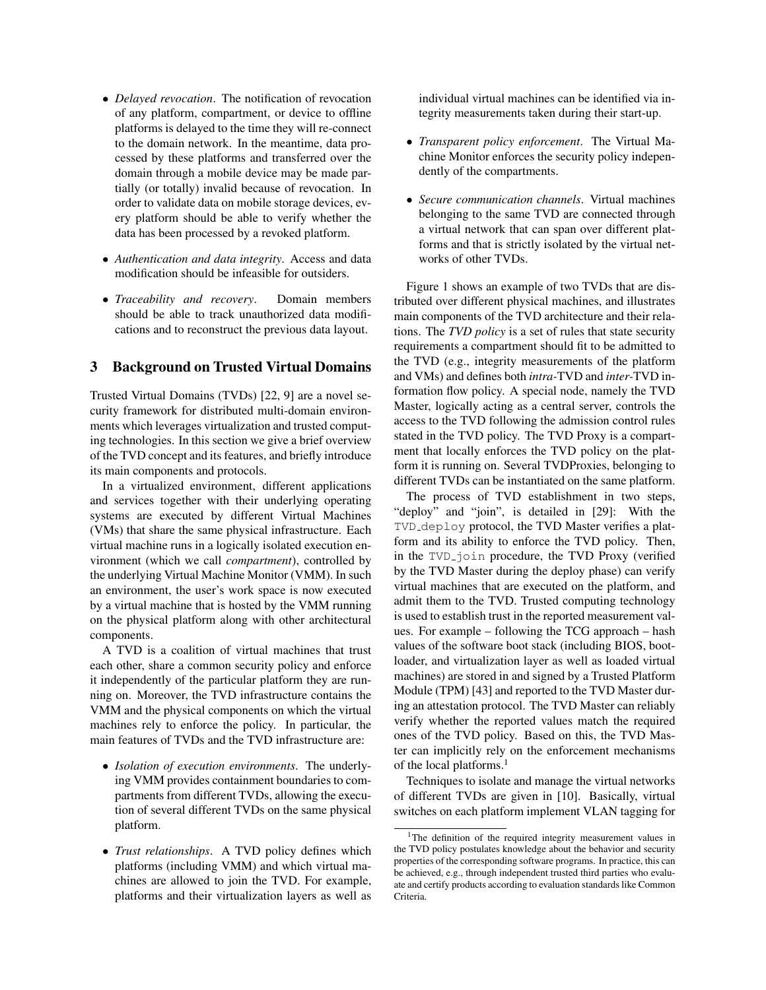- *Delayed revocation*. The notification of revocation of any platform, compartment, or device to offline platforms is delayed to the time they will re-connect to the domain network. In the meantime, data processed by these platforms and transferred over the domain through a mobile device may be made partially (or totally) invalid because of revocation. In order to validate data on mobile storage devices, every platform should be able to verify whether the data has been processed by a revoked platform.
- *Authentication and data integrity*. Access and data modification should be infeasible for outsiders.
- *Traceability and recovery*. Domain members should be able to track unauthorized data modifications and to reconstruct the previous data layout.

### 3 Background on Trusted Virtual Domains

Trusted Virtual Domains (TVDs) [22, 9] are a novel security framework for distributed multi-domain environments which leverages virtualization and trusted computing technologies. In this section we give a brief overview of the TVD concept and its features, and briefly introduce its main components and protocols.

In a virtualized environment, different applications and services together with their underlying operating systems are executed by different Virtual Machines (VMs) that share the same physical infrastructure. Each virtual machine runs in a logically isolated execution environment (which we call *compartment*), controlled by the underlying Virtual Machine Monitor (VMM). In such an environment, the user's work space is now executed by a virtual machine that is hosted by the VMM running on the physical platform along with other architectural components.

A TVD is a coalition of virtual machines that trust each other, share a common security policy and enforce it independently of the particular platform they are running on. Moreover, the TVD infrastructure contains the VMM and the physical components on which the virtual machines rely to enforce the policy. In particular, the main features of TVDs and the TVD infrastructure are:

- *Isolation of execution environments*. The underlying VMM provides containment boundaries to compartments from different TVDs, allowing the execution of several different TVDs on the same physical platform.
- *Trust relationships*. A TVD policy defines which platforms (including VMM) and which virtual machines are allowed to join the TVD. For example, platforms and their virtualization layers as well as

individual virtual machines can be identified via integrity measurements taken during their start-up.

- *Transparent policy enforcement*. The Virtual Machine Monitor enforces the security policy independently of the compartments.
- *Secure communication channels*. Virtual machines belonging to the same TVD are connected through a virtual network that can span over different platforms and that is strictly isolated by the virtual networks of other TVDs.

Figure 1 shows an example of two TVDs that are distributed over different physical machines, and illustrates main components of the TVD architecture and their relations. The *TVD policy* is a set of rules that state security requirements a compartment should fit to be admitted to the TVD (e.g., integrity measurements of the platform and VMs) and defines both *intra-*TVD and *inter-*TVD information flow policy. A special node, namely the TVD Master, logically acting as a central server, controls the access to the TVD following the admission control rules stated in the TVD policy. The TVD Proxy is a compartment that locally enforces the TVD policy on the platform it is running on. Several TVDProxies, belonging to different TVDs can be instantiated on the same platform.

The process of TVD establishment in two steps, "deploy" and "join", is detailed in [29]: With the TVD deploy protocol, the TVD Master verifies a platform and its ability to enforce the TVD policy. Then, in the TVD join procedure, the TVD Proxy (verified by the TVD Master during the deploy phase) can verify virtual machines that are executed on the platform, and admit them to the TVD. Trusted computing technology is used to establish trust in the reported measurement values. For example – following the TCG approach – hash values of the software boot stack (including BIOS, bootloader, and virtualization layer as well as loaded virtual machines) are stored in and signed by a Trusted Platform Module (TPM) [43] and reported to the TVD Master during an attestation protocol. The TVD Master can reliably verify whether the reported values match the required ones of the TVD policy. Based on this, the TVD Master can implicitly rely on the enforcement mechanisms of the local platforms.<sup>1</sup>

Techniques to isolate and manage the virtual networks of different TVDs are given in [10]. Basically, virtual switches on each platform implement VLAN tagging for

<sup>&</sup>lt;sup>1</sup>The definition of the required integrity measurement values in the TVD policy postulates knowledge about the behavior and security properties of the corresponding software programs. In practice, this can be achieved, e.g., through independent trusted third parties who evaluate and certify products according to evaluation standards like Common Criteria.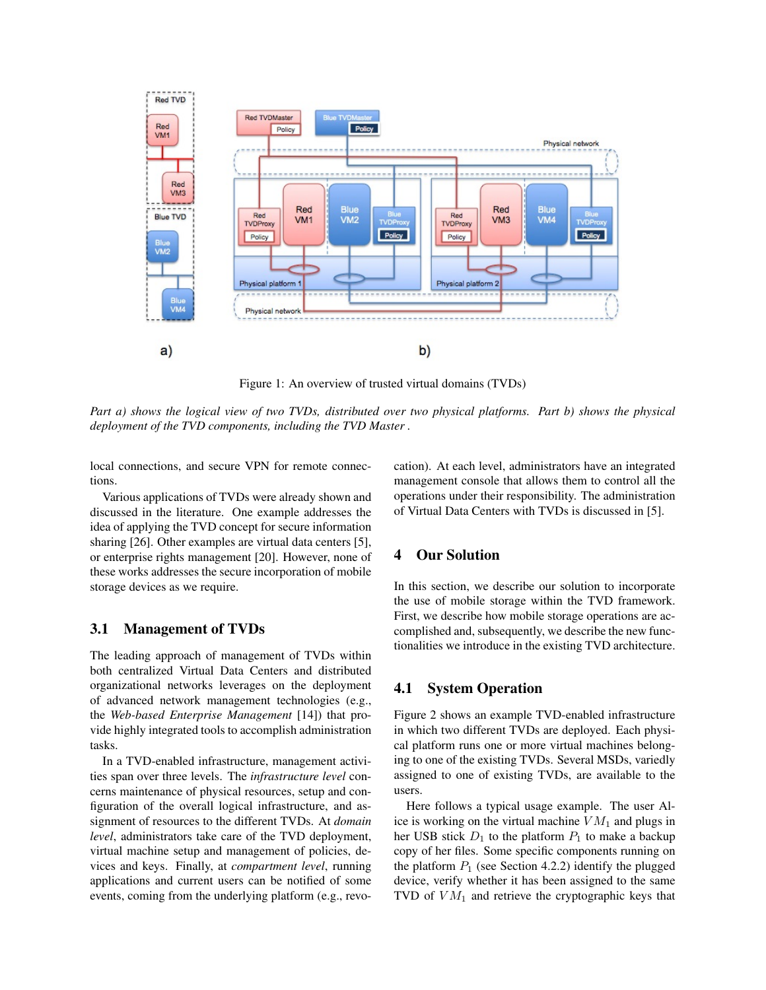

Figure 1: An overview of trusted virtual domains (TVDs)

*Part a) shows the logical view of two TVDs, distributed over two physical platforms. Part b) shows the physical deployment of the TVD components, including the TVD Master .*

local connections, and secure VPN for remote connections.

Various applications of TVDs were already shown and discussed in the literature. One example addresses the idea of applying the TVD concept for secure information sharing [26]. Other examples are virtual data centers [5], or enterprise rights management [20]. However, none of these works addresses the secure incorporation of mobile storage devices as we require.

### 3.1 Management of TVDs

The leading approach of management of TVDs within both centralized Virtual Data Centers and distributed organizational networks leverages on the deployment of advanced network management technologies (e.g., the *Web-based Enterprise Management* [14]) that provide highly integrated tools to accomplish administration tasks.

In a TVD-enabled infrastructure, management activities span over three levels. The *infrastructure level* concerns maintenance of physical resources, setup and configuration of the overall logical infrastructure, and assignment of resources to the different TVDs. At *domain level*, administrators take care of the TVD deployment, virtual machine setup and management of policies, devices and keys. Finally, at *compartment level*, running applications and current users can be notified of some events, coming from the underlying platform (e.g., revocation). At each level, administrators have an integrated management console that allows them to control all the operations under their responsibility. The administration of Virtual Data Centers with TVDs is discussed in [5].

### 4 Our Solution

In this section, we describe our solution to incorporate the use of mobile storage within the TVD framework. First, we describe how mobile storage operations are accomplished and, subsequently, we describe the new functionalities we introduce in the existing TVD architecture.

### 4.1 System Operation

Figure 2 shows an example TVD-enabled infrastructure in which two different TVDs are deployed. Each physical platform runs one or more virtual machines belonging to one of the existing TVDs. Several MSDs, variedly assigned to one of existing TVDs, are available to the users.

Here follows a typical usage example. The user Alice is working on the virtual machine  $VM_1$  and plugs in her USB stick  $D_1$  to the platform  $P_1$  to make a backup copy of her files. Some specific components running on the platform  $P_1$  (see Section 4.2.2) identify the plugged device, verify whether it has been assigned to the same TVD of  $VM<sub>1</sub>$  and retrieve the cryptographic keys that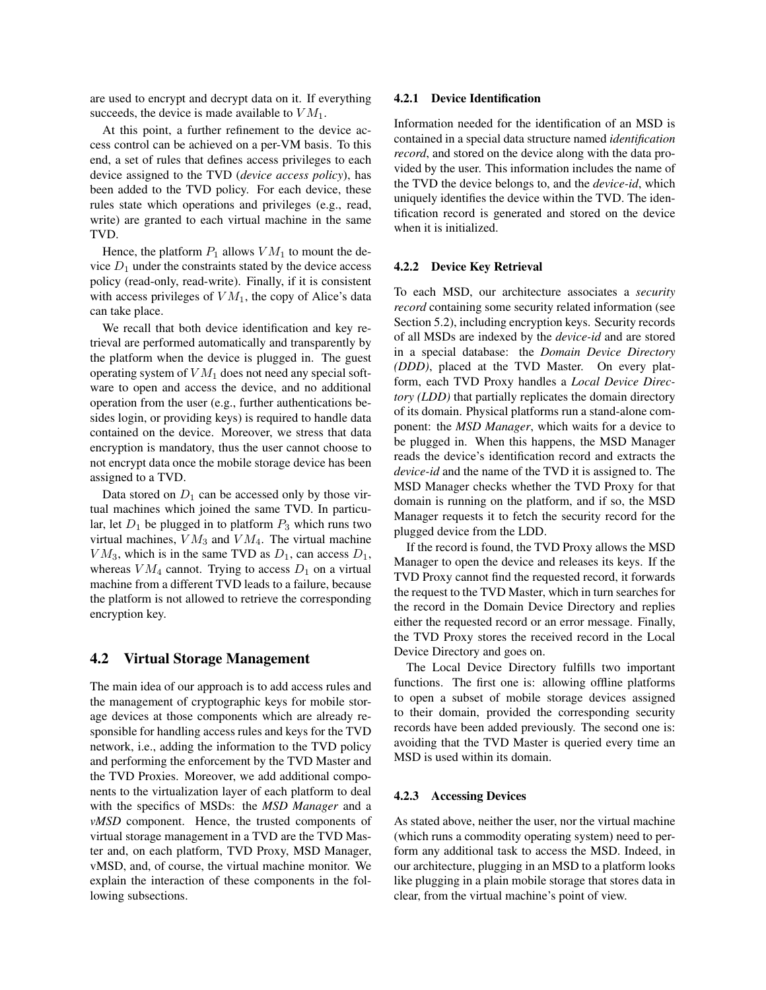are used to encrypt and decrypt data on it. If everything succeeds, the device is made available to  $VM<sub>1</sub>$ .

At this point, a further refinement to the device access control can be achieved on a per-VM basis. To this end, a set of rules that defines access privileges to each device assigned to the TVD (*device access policy*), has been added to the TVD policy. For each device, these rules state which operations and privileges (e.g., read, write) are granted to each virtual machine in the same TVD.

Hence, the platform  $P_1$  allows  $VM_1$  to mount the device  $D_1$  under the constraints stated by the device access policy (read-only, read-write). Finally, if it is consistent with access privileges of  $VM<sub>1</sub>$ , the copy of Alice's data can take place.

We recall that both device identification and key retrieval are performed automatically and transparently by the platform when the device is plugged in. The guest operating system of  $VM_1$  does not need any special software to open and access the device, and no additional operation from the user (e.g., further authentications besides login, or providing keys) is required to handle data contained on the device. Moreover, we stress that data encryption is mandatory, thus the user cannot choose to not encrypt data once the mobile storage device has been assigned to a TVD.

Data stored on  $D_1$  can be accessed only by those virtual machines which joined the same TVD. In particular, let  $D_1$  be plugged in to platform  $P_3$  which runs two virtual machines,  $VM_3$  and  $VM_4$ . The virtual machine  $VM_3$ , which is in the same TVD as  $D_1$ , can access  $D_1$ , whereas  $VM_4$  cannot. Trying to access  $D_1$  on a virtual machine from a different TVD leads to a failure, because the platform is not allowed to retrieve the corresponding encryption key.

### 4.2 Virtual Storage Management

The main idea of our approach is to add access rules and the management of cryptographic keys for mobile storage devices at those components which are already responsible for handling access rules and keys for the TVD network, i.e., adding the information to the TVD policy and performing the enforcement by the TVD Master and the TVD Proxies. Moreover, we add additional components to the virtualization layer of each platform to deal with the specifics of MSDs: the *MSD Manager* and a *vMSD* component. Hence, the trusted components of virtual storage management in a TVD are the TVD Master and, on each platform, TVD Proxy, MSD Manager, vMSD, and, of course, the virtual machine monitor. We explain the interaction of these components in the following subsections.

#### 4.2.1 Device Identification

Information needed for the identification of an MSD is contained in a special data structure named *identification record*, and stored on the device along with the data provided by the user. This information includes the name of the TVD the device belongs to, and the *device-id*, which uniquely identifies the device within the TVD. The identification record is generated and stored on the device when it is initialized.

#### 4.2.2 Device Key Retrieval

To each MSD, our architecture associates a *security record* containing some security related information (see Section 5.2), including encryption keys. Security records of all MSDs are indexed by the *device-id* and are stored in a special database: the *Domain Device Directory (DDD)*, placed at the TVD Master. On every platform, each TVD Proxy handles a *Local Device Directory (LDD)* that partially replicates the domain directory of its domain. Physical platforms run a stand-alone component: the *MSD Manager*, which waits for a device to be plugged in. When this happens, the MSD Manager reads the device's identification record and extracts the *device-id* and the name of the TVD it is assigned to. The MSD Manager checks whether the TVD Proxy for that domain is running on the platform, and if so, the MSD Manager requests it to fetch the security record for the plugged device from the LDD.

If the record is found, the TVD Proxy allows the MSD Manager to open the device and releases its keys. If the TVD Proxy cannot find the requested record, it forwards the request to the TVD Master, which in turn searches for the record in the Domain Device Directory and replies either the requested record or an error message. Finally, the TVD Proxy stores the received record in the Local Device Directory and goes on.

The Local Device Directory fulfills two important functions. The first one is: allowing offline platforms to open a subset of mobile storage devices assigned to their domain, provided the corresponding security records have been added previously. The second one is: avoiding that the TVD Master is queried every time an MSD is used within its domain.

#### 4.2.3 Accessing Devices

As stated above, neither the user, nor the virtual machine (which runs a commodity operating system) need to perform any additional task to access the MSD. Indeed, in our architecture, plugging in an MSD to a platform looks like plugging in a plain mobile storage that stores data in clear, from the virtual machine's point of view.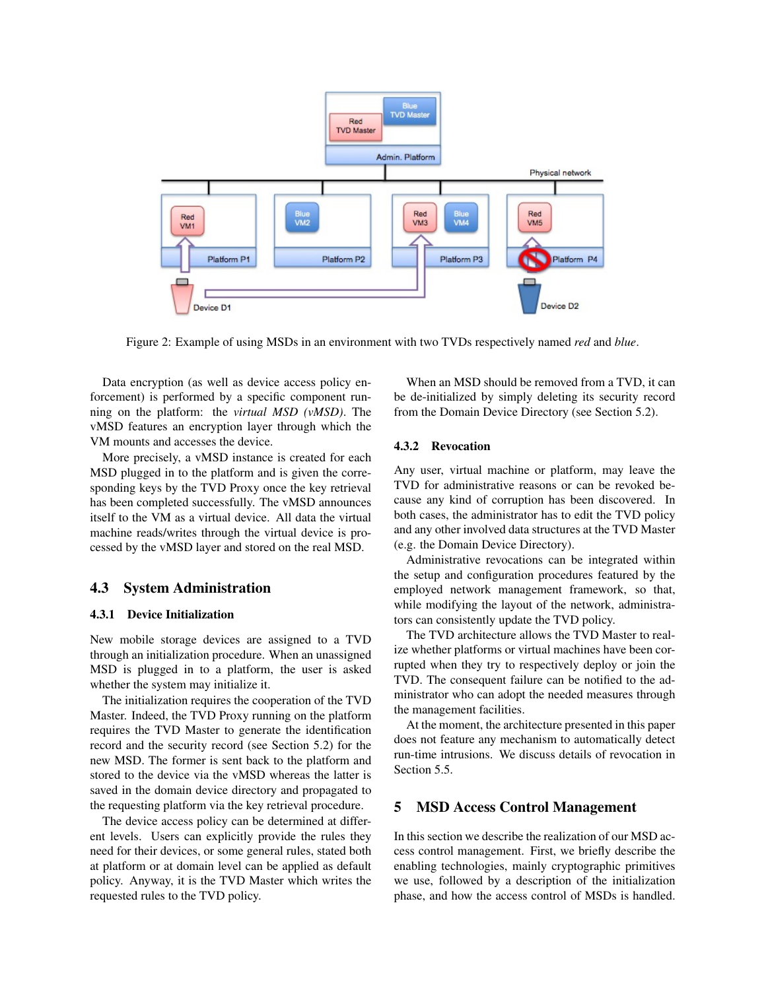

Figure 2: Example of using MSDs in an environment with two TVDs respectively named *red* and *blue*.

Data encryption (as well as device access policy enforcement) is performed by a specific component running on the platform: the *virtual MSD (vMSD)*. The vMSD features an encryption layer through which the VM mounts and accesses the device.

More precisely, a vMSD instance is created for each MSD plugged in to the platform and is given the corresponding keys by the TVD Proxy once the key retrieval has been completed successfully. The vMSD announces itself to the VM as a virtual device. All data the virtual machine reads/writes through the virtual device is processed by the vMSD layer and stored on the real MSD.

## 4.3 System Administration

#### 4.3.1 Device Initialization

New mobile storage devices are assigned to a TVD through an initialization procedure. When an unassigned MSD is plugged in to a platform, the user is asked whether the system may initialize it.

The initialization requires the cooperation of the TVD Master. Indeed, the TVD Proxy running on the platform requires the TVD Master to generate the identification record and the security record (see Section 5.2) for the new MSD. The former is sent back to the platform and stored to the device via the vMSD whereas the latter is saved in the domain device directory and propagated to the requesting platform via the key retrieval procedure.

The device access policy can be determined at different levels. Users can explicitly provide the rules they need for their devices, or some general rules, stated both at platform or at domain level can be applied as default policy. Anyway, it is the TVD Master which writes the requested rules to the TVD policy.

When an MSD should be removed from a TVD, it can be de-initialized by simply deleting its security record from the Domain Device Directory (see Section 5.2).

### 4.3.2 Revocation

Any user, virtual machine or platform, may leave the TVD for administrative reasons or can be revoked because any kind of corruption has been discovered. In both cases, the administrator has to edit the TVD policy and any other involved data structures at the TVD Master (e.g. the Domain Device Directory).

Administrative revocations can be integrated within the setup and configuration procedures featured by the employed network management framework, so that, while modifying the layout of the network, administrators can consistently update the TVD policy.

The TVD architecture allows the TVD Master to realize whether platforms or virtual machines have been corrupted when they try to respectively deploy or join the TVD. The consequent failure can be notified to the administrator who can adopt the needed measures through the management facilities.

At the moment, the architecture presented in this paper does not feature any mechanism to automatically detect run-time intrusions. We discuss details of revocation in Section 5.5.

### 5 MSD Access Control Management

In this section we describe the realization of our MSD access control management. First, we briefly describe the enabling technologies, mainly cryptographic primitives we use, followed by a description of the initialization phase, and how the access control of MSDs is handled.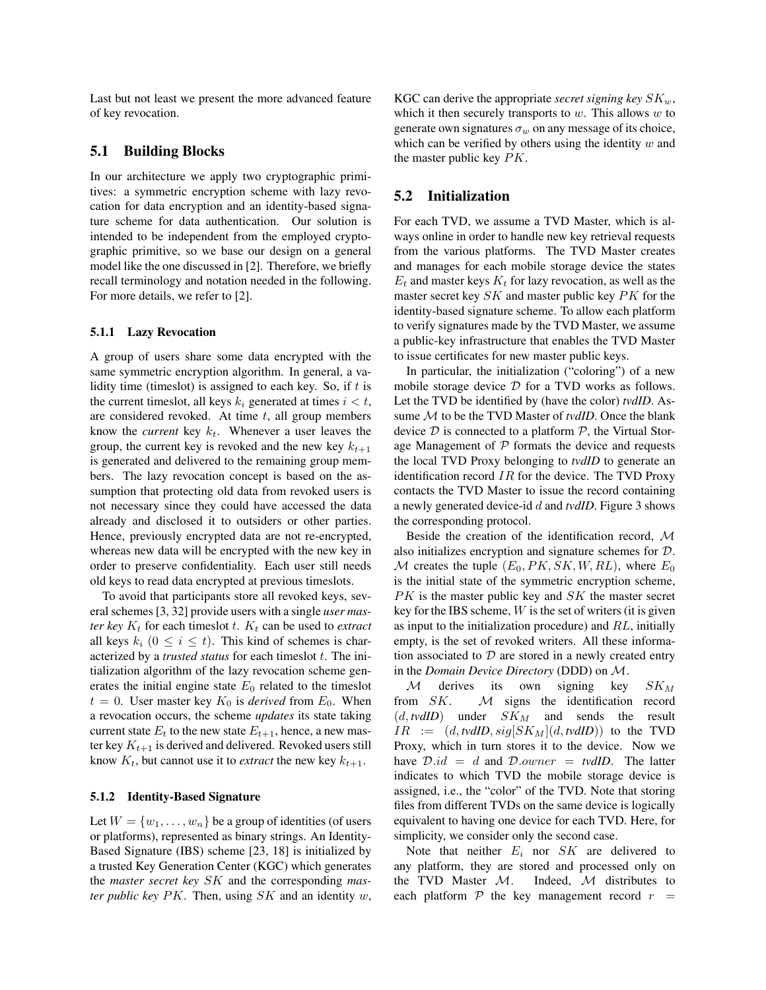Last but not least we present the more advanced feature of key revocation.

## 5.1 Building Blocks

In our architecture we apply two cryptographic primitives: a symmetric encryption scheme with lazy revocation for data encryption and an identity-based signature scheme for data authentication. Our solution is intended to be independent from the employed cryptographic primitive, so we base our design on a general model like the one discussed in [2]. Therefore, we briefly recall terminology and notation needed in the following. For more details, we refer to [2].

#### 5.1.1 Lazy Revocation

A group of users share some data encrypted with the same symmetric encryption algorithm. In general, a validity time (timeslot) is assigned to each key. So, if  $t$  is the current timeslot, all keys  $k_i$  generated at times  $i < t$ , are considered revoked. At time  $t$ , all group members know the *current* key  $k_t$ . Whenever a user leaves the group, the current key is revoked and the new key  $k_{t+1}$ is generated and delivered to the remaining group members. The lazy revocation concept is based on the assumption that protecting old data from revoked users is not necessary since they could have accessed the data already and disclosed it to outsiders or other parties. Hence, previously encrypted data are not re-encrypted, whereas new data will be encrypted with the new key in order to preserve confidentiality. Each user still needs old keys to read data encrypted at previous timeslots.

To avoid that participants store all revoked keys, several schemes [3, 32] provide users with a single *user master key*  $K_t$  for each timeslot t.  $K_t$  can be used to *extract* all keys  $k_i$   $(0 \le i \le t)$ . This kind of schemes is characterized by a *trusted status* for each timeslot t. The initialization algorithm of the lazy revocation scheme generates the initial engine state  $E_0$  related to the timeslot  $t = 0$ . User master key  $K_0$  is *derived* from  $E_0$ . When a revocation occurs, the scheme *updates* its state taking current state  $E_t$  to the new state  $E_{t+1}$ , hence, a new master key  $K_{t+1}$  is derived and delivered. Revoked users still know  $K_t$ , but cannot use it to *extract* the new key  $k_{t+1}$ .

#### 5.1.2 Identity-Based Signature

Let  $W = \{w_1, \ldots, w_n\}$  be a group of identities (of users or platforms), represented as binary strings. An Identity-Based Signature (IBS) scheme [23, 18] is initialized by a trusted Key Generation Center (KGC) which generates the *master secret key* SK and the corresponding *master public key* PK. Then, using SK and an identity w, KGC can derive the appropriate *secret signing key*  $SK_w$ , which it then securely transports to  $w$ . This allows  $w$  to generate own signatures  $\sigma_w$  on any message of its choice, which can be verified by others using the identity  $w$  and the master public key  $PK$ .

### 5.2 Initialization

For each TVD, we assume a TVD Master, which is always online in order to handle new key retrieval requests from the various platforms. The TVD Master creates and manages for each mobile storage device the states  $E_t$  and master keys  $K_t$  for lazy revocation, as well as the master secret key  $SK$  and master public key  $PK$  for the identity-based signature scheme. To allow each platform to verify signatures made by the TVD Master, we assume a public-key infrastructure that enables the TVD Master to issue certificates for new master public keys.

In particular, the initialization ("coloring") of a new mobile storage device  $D$  for a TVD works as follows. Let the TVD be identified by (have the color) *tvdID*. Assume M to be the TVD Master of *tvdID*. Once the blank device  $D$  is connected to a platform  $P$ , the Virtual Storage Management of  $P$  formats the device and requests the local TVD Proxy belonging to *tvdID* to generate an identification record  $IR$  for the device. The TVD Proxy contacts the TVD Master to issue the record containing a newly generated device-id d and *tvdID*. Figure 3 shows the corresponding protocol.

Beside the creation of the identification record, M also initializes encryption and signature schemes for D. M creates the tuple  $(E_0, PK, SK, W, RL)$ , where  $E_0$ is the initial state of the symmetric encryption scheme,  $PK$  is the master public key and  $SK$  the master secret key for the IBS scheme,  $W$  is the set of writers (it is given as input to the initialization procedure) and RL, initially empty, is the set of revoked writers. All these information associated to  $D$  are stored in a newly created entry in the *Domain Device Directory* (DDD) on M.

M derives its own signing key  $SK_M$ from  $SK.$   $M$  signs the identification record  $(d, tvdID)$  under  $SK_M$  and sends the result  $IR := (d, tvdID, sig[SK_M](d, tvdID))$  to the TVD Proxy, which in turn stores it to the device. Now we have  $D.id = d$  and  $D.owner = tvdID$ . The latter indicates to which TVD the mobile storage device is assigned, i.e., the "color" of the TVD. Note that storing files from different TVDs on the same device is logically equivalent to having one device for each TVD. Here, for simplicity, we consider only the second case.

Note that neither  $E_i$  nor  $SK$  are delivered to any platform, they are stored and processed only on the TVD Master  $M$ . Indeed,  $M$  distributes to each platform  $P$  the key management record  $r =$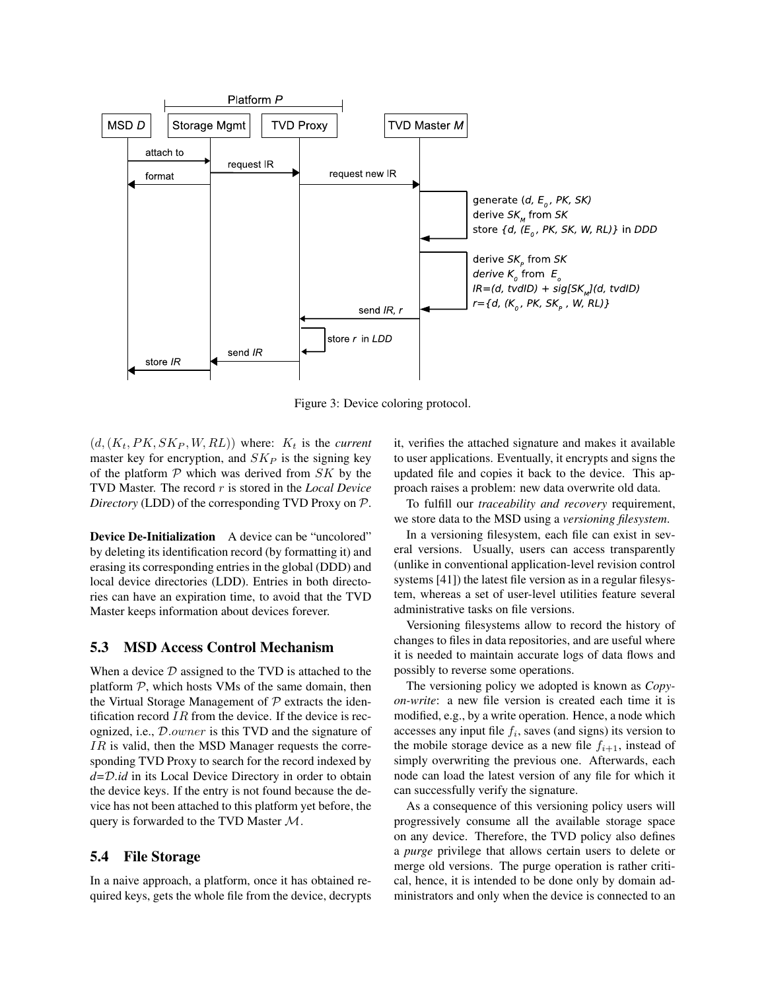

Figure 3: Device coloring protocol.

 $(d, (K_t, PK, SK_P, W, RL))$  where:  $K_t$  is the *current* master key for encryption, and  $SK_P$  is the signing key of the platform  $P$  which was derived from  $SK$  by the TVD Master. The record r is stored in the *Local Device Directory* (LDD) of the corresponding TVD Proxy on P.

Device De-Initialization A device can be "uncolored" by deleting its identification record (by formatting it) and erasing its corresponding entries in the global (DDD) and local device directories (LDD). Entries in both directories can have an expiration time, to avoid that the TVD Master keeps information about devices forever.

## 5.3 MSD Access Control Mechanism

When a device  $D$  assigned to the TVD is attached to the platform  $P$ , which hosts VMs of the same domain, then the Virtual Storage Management of  $P$  extracts the identification record  $IR$  from the device. If the device is recognized, i.e., D.owner is this TVD and the signature of  $IR$  is valid, then the MSD Manager requests the corresponding TVD Proxy to search for the record indexed by *d=*D*.id* in its Local Device Directory in order to obtain the device keys. If the entry is not found because the device has not been attached to this platform yet before, the query is forwarded to the TVD Master  $M$ .

## 5.4 File Storage

In a naive approach, a platform, once it has obtained required keys, gets the whole file from the device, decrypts it, verifies the attached signature and makes it available to user applications. Eventually, it encrypts and signs the updated file and copies it back to the device. This approach raises a problem: new data overwrite old data.

To fulfill our *traceability and recovery* requirement, we store data to the MSD using a *versioning filesystem*.

In a versioning filesystem, each file can exist in several versions. Usually, users can access transparently (unlike in conventional application-level revision control systems [41]) the latest file version as in a regular filesystem, whereas a set of user-level utilities feature several administrative tasks on file versions.

Versioning filesystems allow to record the history of changes to files in data repositories, and are useful where it is needed to maintain accurate logs of data flows and possibly to reverse some operations.

The versioning policy we adopted is known as *Copyon-write*: a new file version is created each time it is modified, e.g., by a write operation. Hence, a node which accesses any input file  $f_i$ , saves (and signs) its version to the mobile storage device as a new file  $f_{i+1}$ , instead of simply overwriting the previous one. Afterwards, each node can load the latest version of any file for which it can successfully verify the signature.

As a consequence of this versioning policy users will progressively consume all the available storage space on any device. Therefore, the TVD policy also defines a *purge* privilege that allows certain users to delete or merge old versions. The purge operation is rather critical, hence, it is intended to be done only by domain administrators and only when the device is connected to an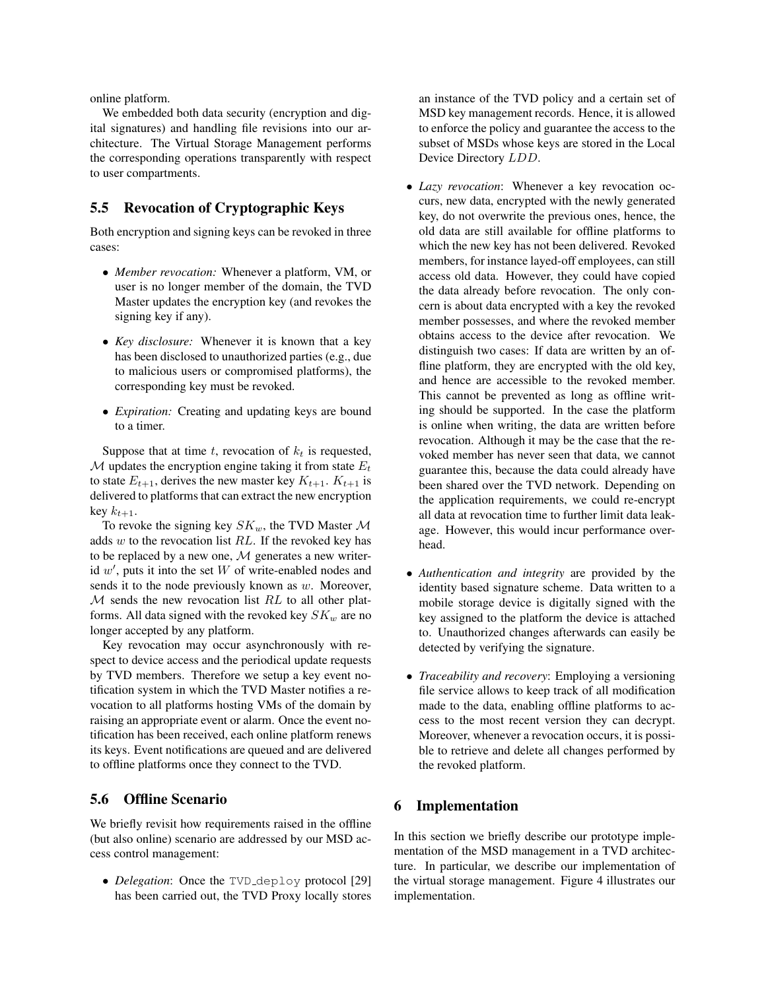online platform.

We embedded both data security (encryption and digital signatures) and handling file revisions into our architecture. The Virtual Storage Management performs the corresponding operations transparently with respect to user compartments.

## 5.5 Revocation of Cryptographic Keys

Both encryption and signing keys can be revoked in three cases:

- *Member revocation:* Whenever a platform, VM, or user is no longer member of the domain, the TVD Master updates the encryption key (and revokes the signing key if any).
- *Key disclosure:* Whenever it is known that a key has been disclosed to unauthorized parties (e.g., due to malicious users or compromised platforms), the corresponding key must be revoked.
- *Expiration:* Creating and updating keys are bound to a timer.

Suppose that at time t, revocation of  $k_t$  is requested,  $M$  updates the encryption engine taking it from state  $E_t$ to state  $E_{t+1}$ , derives the new master key  $K_{t+1}$ .  $K_{t+1}$  is delivered to platforms that can extract the new encryption key  $k_{t+1}$ .

To revoke the signing key  $SK_w$ , the TVD Master M adds  $w$  to the revocation list  $RL$ . If the revoked key has to be replaced by a new one,  $M$  generates a new writerid  $w'$ , puts it into the set  $W$  of write-enabled nodes and sends it to the node previously known as  $w$ . Moreover,  $M$  sends the new revocation list  $RL$  to all other platforms. All data signed with the revoked key  $SK_w$  are no longer accepted by any platform.

Key revocation may occur asynchronously with respect to device access and the periodical update requests by TVD members. Therefore we setup a key event notification system in which the TVD Master notifies a revocation to all platforms hosting VMs of the domain by raising an appropriate event or alarm. Once the event notification has been received, each online platform renews its keys. Event notifications are queued and are delivered to offline platforms once they connect to the TVD.

## 5.6 Offline Scenario

We briefly revisit how requirements raised in the offline (but also online) scenario are addressed by our MSD access control management:

• *Delegation*: Once the TVD<sub>-</sub>deploy protocol [29] has been carried out, the TVD Proxy locally stores an instance of the TVD policy and a certain set of MSD key management records. Hence, it is allowed to enforce the policy and guarantee the access to the subset of MSDs whose keys are stored in the Local Device Directory LDD.

- *Lazy revocation*: Whenever a key revocation occurs, new data, encrypted with the newly generated key, do not overwrite the previous ones, hence, the old data are still available for offline platforms to which the new key has not been delivered. Revoked members, for instance layed-off employees, can still access old data. However, they could have copied the data already before revocation. The only concern is about data encrypted with a key the revoked member possesses, and where the revoked member obtains access to the device after revocation. We distinguish two cases: If data are written by an offline platform, they are encrypted with the old key, and hence are accessible to the revoked member. This cannot be prevented as long as offline writing should be supported. In the case the platform is online when writing, the data are written before revocation. Although it may be the case that the revoked member has never seen that data, we cannot guarantee this, because the data could already have been shared over the TVD network. Depending on the application requirements, we could re-encrypt all data at revocation time to further limit data leakage. However, this would incur performance overhead.
- *Authentication and integrity* are provided by the identity based signature scheme. Data written to a mobile storage device is digitally signed with the key assigned to the platform the device is attached to. Unauthorized changes afterwards can easily be detected by verifying the signature.
- *Traceability and recovery*: Employing a versioning file service allows to keep track of all modification made to the data, enabling offline platforms to access to the most recent version they can decrypt. Moreover, whenever a revocation occurs, it is possible to retrieve and delete all changes performed by the revoked platform.

### 6 Implementation

In this section we briefly describe our prototype implementation of the MSD management in a TVD architecture. In particular, we describe our implementation of the virtual storage management. Figure 4 illustrates our implementation.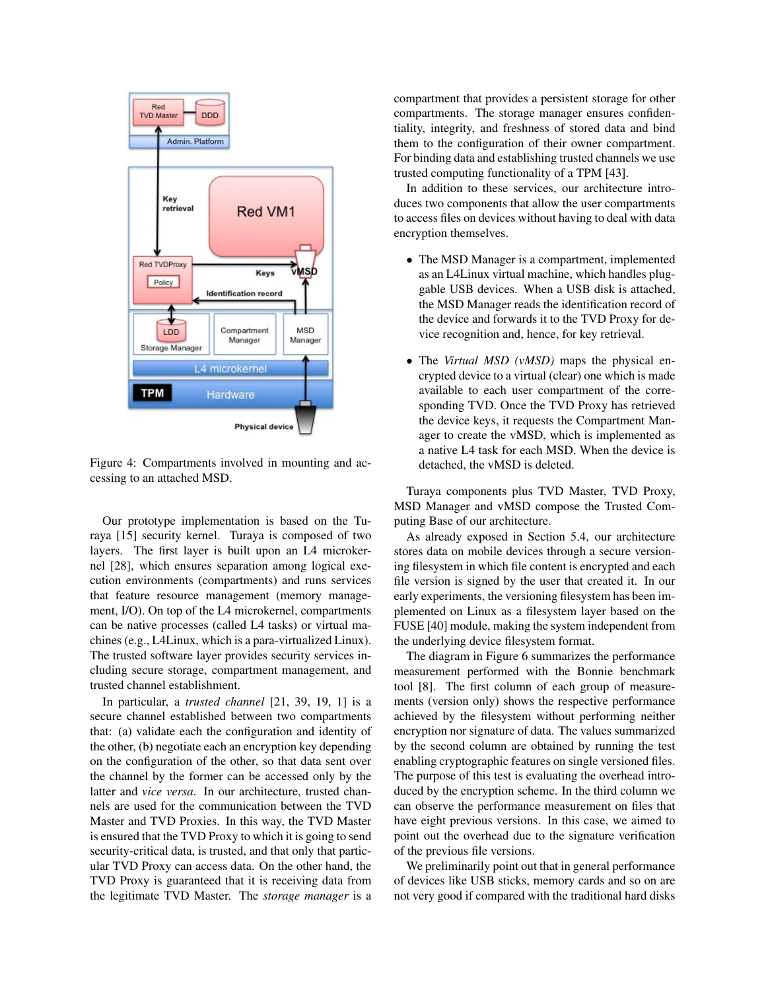

Figure 4: Compartments involved in mounting and accessing to an attached MSD.

Our prototype implementation is based on the Turaya [15] security kernel. Turaya is composed of two layers. The first layer is built upon an L4 microkernel [28], which ensures separation among logical execution environments (compartments) and runs services that feature resource management (memory management, I/O). On top of the L4 microkernel, compartments can be native processes (called L4 tasks) or virtual machines (e.g., L4Linux, which is a para-virtualized Linux). The trusted software layer provides security services including secure storage, compartment management, and trusted channel establishment.

In particular, a *trusted channel* [21, 39, 19, 1] is a secure channel established between two compartments that: (a) validate each the configuration and identity of the other, (b) negotiate each an encryption key depending on the configuration of the other, so that data sent over the channel by the former can be accessed only by the latter and *vice versa*. In our architecture, trusted channels are used for the communication between the TVD Master and TVD Proxies. In this way, the TVD Master is ensured that the TVD Proxy to which it is going to send security-critical data, is trusted, and that only that particular TVD Proxy can access data. On the other hand, the TVD Proxy is guaranteed that it is receiving data from the legitimate TVD Master. The *storage manager* is a compartment that provides a persistent storage for other compartments. The storage manager ensures confidentiality, integrity, and freshness of stored data and bind them to the configuration of their owner compartment. For binding data and establishing trusted channels we use trusted computing functionality of a TPM [43].

In addition to these services, our architecture introduces two components that allow the user compartments to access files on devices without having to deal with data encryption themselves.

- The MSD Manager is a compartment, implemented as an L4Linux virtual machine, which handles pluggable USB devices. When a USB disk is attached, the MSD Manager reads the identification record of the device and forwards it to the TVD Proxy for device recognition and, hence, for key retrieval.
- The *Virtual MSD (vMSD)* maps the physical encrypted device to a virtual (clear) one which is made available to each user compartment of the corresponding TVD. Once the TVD Proxy has retrieved the device keys, it requests the Compartment Manager to create the vMSD, which is implemented as a native L4 task for each MSD. When the device is detached, the vMSD is deleted.

Turaya components plus TVD Master, TVD Proxy, MSD Manager and vMSD compose the Trusted Computing Base of our architecture.

As already exposed in Section 5.4, our architecture stores data on mobile devices through a secure versioning filesystem in which file content is encrypted and each file version is signed by the user that created it. In our early experiments, the versioning filesystem has been implemented on Linux as a filesystem layer based on the FUSE [40] module, making the system independent from the underlying device filesystem format.

The diagram in Figure 6 summarizes the performance measurement performed with the Bonnie benchmark tool [8]. The first column of each group of measurements (version only) shows the respective performance achieved by the filesystem without performing neither encryption nor signature of data. The values summarized by the second column are obtained by running the test enabling cryptographic features on single versioned files. The purpose of this test is evaluating the overhead introduced by the encryption scheme. In the third column we can observe the performance measurement on files that have eight previous versions. In this case, we aimed to point out the overhead due to the signature verification of the previous file versions.

We preliminarily point out that in general performance of devices like USB sticks, memory cards and so on are not very good if compared with the traditional hard disks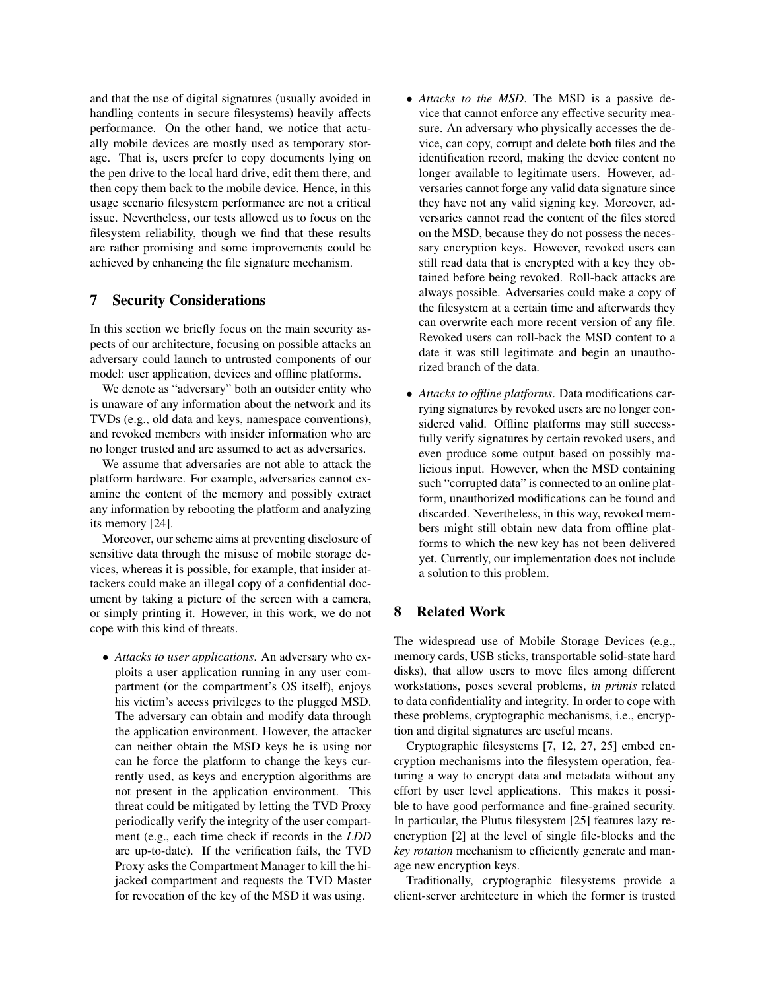and that the use of digital signatures (usually avoided in handling contents in secure filesystems) heavily affects performance. On the other hand, we notice that actually mobile devices are mostly used as temporary storage. That is, users prefer to copy documents lying on the pen drive to the local hard drive, edit them there, and then copy them back to the mobile device. Hence, in this usage scenario filesystem performance are not a critical issue. Nevertheless, our tests allowed us to focus on the filesystem reliability, though we find that these results are rather promising and some improvements could be achieved by enhancing the file signature mechanism.

## 7 Security Considerations

In this section we briefly focus on the main security aspects of our architecture, focusing on possible attacks an adversary could launch to untrusted components of our model: user application, devices and offline platforms.

We denote as "adversary" both an outsider entity who is unaware of any information about the network and its TVDs (e.g., old data and keys, namespace conventions), and revoked members with insider information who are no longer trusted and are assumed to act as adversaries.

We assume that adversaries are not able to attack the platform hardware. For example, adversaries cannot examine the content of the memory and possibly extract any information by rebooting the platform and analyzing its memory [24].

Moreover, our scheme aims at preventing disclosure of sensitive data through the misuse of mobile storage devices, whereas it is possible, for example, that insider attackers could make an illegal copy of a confidential document by taking a picture of the screen with a camera, or simply printing it. However, in this work, we do not cope with this kind of threats.

• *Attacks to user applications*. An adversary who exploits a user application running in any user compartment (or the compartment's OS itself), enjoys his victim's access privileges to the plugged MSD. The adversary can obtain and modify data through the application environment. However, the attacker can neither obtain the MSD keys he is using nor can he force the platform to change the keys currently used, as keys and encryption algorithms are not present in the application environment. This threat could be mitigated by letting the TVD Proxy periodically verify the integrity of the user compartment (e.g., each time check if records in the *LDD* are up-to-date). If the verification fails, the TVD Proxy asks the Compartment Manager to kill the hijacked compartment and requests the TVD Master for revocation of the key of the MSD it was using.

- *Attacks to the MSD*. The MSD is a passive device that cannot enforce any effective security measure. An adversary who physically accesses the device, can copy, corrupt and delete both files and the identification record, making the device content no longer available to legitimate users. However, adversaries cannot forge any valid data signature since they have not any valid signing key. Moreover, adversaries cannot read the content of the files stored on the MSD, because they do not possess the necessary encryption keys. However, revoked users can still read data that is encrypted with a key they obtained before being revoked. Roll-back attacks are always possible. Adversaries could make a copy of the filesystem at a certain time and afterwards they can overwrite each more recent version of any file. Revoked users can roll-back the MSD content to a date it was still legitimate and begin an unauthorized branch of the data.
- *Attacks to offline platforms*. Data modifications carrying signatures by revoked users are no longer considered valid. Offline platforms may still successfully verify signatures by certain revoked users, and even produce some output based on possibly malicious input. However, when the MSD containing such "corrupted data" is connected to an online platform, unauthorized modifications can be found and discarded. Nevertheless, in this way, revoked members might still obtain new data from offline platforms to which the new key has not been delivered yet. Currently, our implementation does not include a solution to this problem.

# 8 Related Work

The widespread use of Mobile Storage Devices (e.g., memory cards, USB sticks, transportable solid-state hard disks), that allow users to move files among different workstations, poses several problems, *in primis* related to data confidentiality and integrity. In order to cope with these problems, cryptographic mechanisms, i.e., encryption and digital signatures are useful means.

Cryptographic filesystems [7, 12, 27, 25] embed encryption mechanisms into the filesystem operation, featuring a way to encrypt data and metadata without any effort by user level applications. This makes it possible to have good performance and fine-grained security. In particular, the Plutus filesystem [25] features lazy reencryption [2] at the level of single file-blocks and the *key rotation* mechanism to efficiently generate and manage new encryption keys.

Traditionally, cryptographic filesystems provide a client-server architecture in which the former is trusted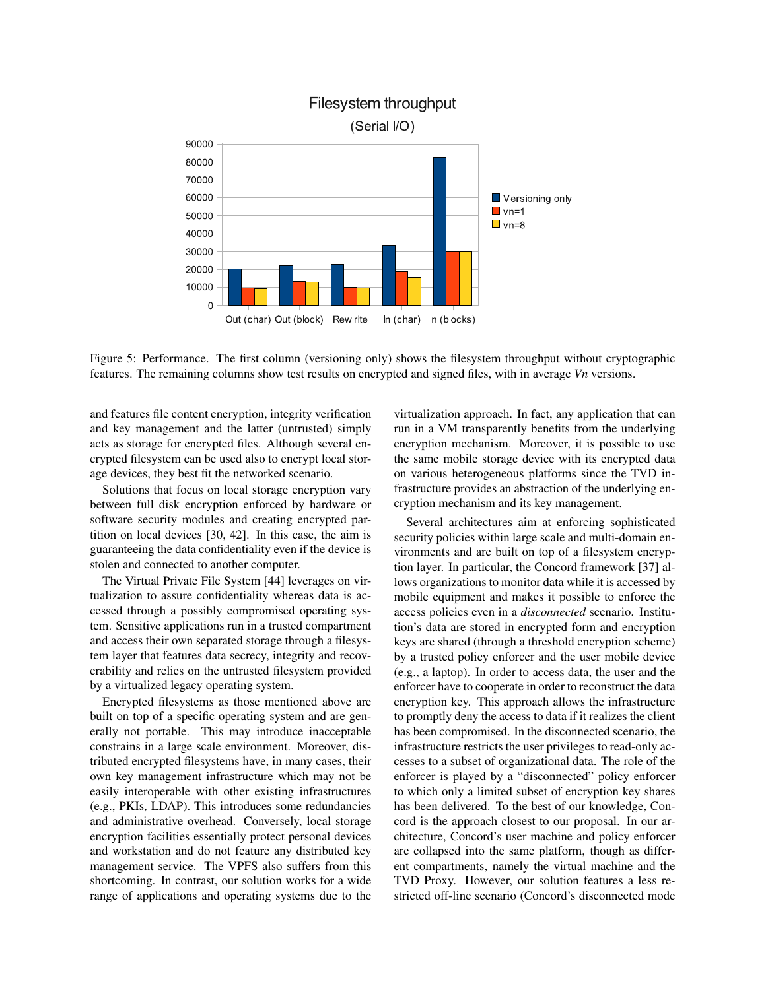

Figure 5: Performance. The first column (versioning only) shows the filesystem throughput without cryptographic features. The remaining columns show test results on encrypted and signed files, with in average *Vn* versions.

and features file content encryption, integrity verification and key management and the latter (untrusted) simply acts as storage for encrypted files. Although several encrypted filesystem can be used also to encrypt local storage devices, they best fit the networked scenario.

Solutions that focus on local storage encryption vary between full disk encryption enforced by hardware or software security modules and creating encrypted partition on local devices [30, 42]. In this case, the aim is guaranteeing the data confidentiality even if the device is stolen and connected to another computer.

The Virtual Private File System [44] leverages on virtualization to assure confidentiality whereas data is accessed through a possibly compromised operating system. Sensitive applications run in a trusted compartment and access their own separated storage through a filesystem layer that features data secrecy, integrity and recoverability and relies on the untrusted filesystem provided by a virtualized legacy operating system.

Encrypted filesystems as those mentioned above are built on top of a specific operating system and are generally not portable. This may introduce inacceptable constrains in a large scale environment. Moreover, distributed encrypted filesystems have, in many cases, their own key management infrastructure which may not be easily interoperable with other existing infrastructures (e.g., PKIs, LDAP). This introduces some redundancies and administrative overhead. Conversely, local storage encryption facilities essentially protect personal devices and workstation and do not feature any distributed key management service. The VPFS also suffers from this shortcoming. In contrast, our solution works for a wide range of applications and operating systems due to the virtualization approach. In fact, any application that can run in a VM transparently benefits from the underlying encryption mechanism. Moreover, it is possible to use the same mobile storage device with its encrypted data on various heterogeneous platforms since the TVD infrastructure provides an abstraction of the underlying encryption mechanism and its key management.

Several architectures aim at enforcing sophisticated security policies within large scale and multi-domain environments and are built on top of a filesystem encryption layer. In particular, the Concord framework [37] allows organizations to monitor data while it is accessed by mobile equipment and makes it possible to enforce the access policies even in a *disconnected* scenario. Institution's data are stored in encrypted form and encryption keys are shared (through a threshold encryption scheme) by a trusted policy enforcer and the user mobile device (e.g., a laptop). In order to access data, the user and the enforcer have to cooperate in order to reconstruct the data encryption key. This approach allows the infrastructure to promptly deny the access to data if it realizes the client has been compromised. In the disconnected scenario, the infrastructure restricts the user privileges to read-only accesses to a subset of organizational data. The role of the enforcer is played by a "disconnected" policy enforcer to which only a limited subset of encryption key shares has been delivered. To the best of our knowledge, Concord is the approach closest to our proposal. In our architecture, Concord's user machine and policy enforcer are collapsed into the same platform, though as different compartments, namely the virtual machine and the TVD Proxy. However, our solution features a less restricted off-line scenario (Concord's disconnected mode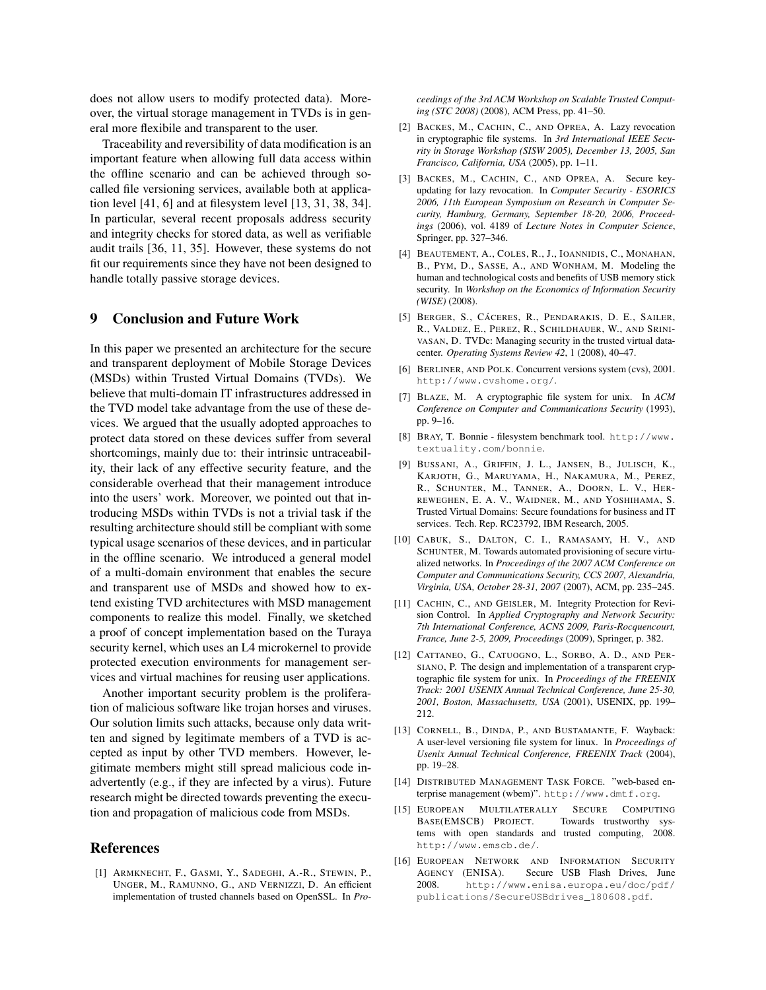does not allow users to modify protected data). Moreover, the virtual storage management in TVDs is in general more flexibile and transparent to the user.

Traceability and reversibility of data modification is an important feature when allowing full data access within the offline scenario and can be achieved through socalled file versioning services, available both at application level [41, 6] and at filesystem level [13, 31, 38, 34]. In particular, several recent proposals address security and integrity checks for stored data, as well as verifiable audit trails [36, 11, 35]. However, these systems do not fit our requirements since they have not been designed to handle totally passive storage devices.

## 9 Conclusion and Future Work

In this paper we presented an architecture for the secure and transparent deployment of Mobile Storage Devices (MSDs) within Trusted Virtual Domains (TVDs). We believe that multi-domain IT infrastructures addressed in the TVD model take advantage from the use of these devices. We argued that the usually adopted approaches to protect data stored on these devices suffer from several shortcomings, mainly due to: their intrinsic untraceability, their lack of any effective security feature, and the considerable overhead that their management introduce into the users' work. Moreover, we pointed out that introducing MSDs within TVDs is not a trivial task if the resulting architecture should still be compliant with some typical usage scenarios of these devices, and in particular in the offline scenario. We introduced a general model of a multi-domain environment that enables the secure and transparent use of MSDs and showed how to extend existing TVD architectures with MSD management components to realize this model. Finally, we sketched a proof of concept implementation based on the Turaya security kernel, which uses an L4 microkernel to provide protected execution environments for management services and virtual machines for reusing user applications.

Another important security problem is the proliferation of malicious software like trojan horses and viruses. Our solution limits such attacks, because only data written and signed by legitimate members of a TVD is accepted as input by other TVD members. However, legitimate members might still spread malicious code inadvertently (e.g., if they are infected by a virus). Future research might be directed towards preventing the execution and propagation of malicious code from MSDs.

### References

[1] ARMKNECHT, F., GASMI, Y., SADEGHI, A.-R., STEWIN, P., UNGER, M., RAMUNNO, G., AND VERNIZZI, D. An efficient implementation of trusted channels based on OpenSSL. In *Pro-* *ceedings of the 3rd ACM Workshop on Scalable Trusted Computing (STC 2008)* (2008), ACM Press, pp. 41–50.

- [2] BACKES, M., CACHIN, C., AND OPREA, A. Lazy revocation in cryptographic file systems. In *3rd International IEEE Security in Storage Workshop (SISW 2005), December 13, 2005, San Francisco, California, USA* (2005), pp. 1–11.
- [3] BACKES, M., CACHIN, C., AND OPREA, A. Secure keyupdating for lazy revocation. In *Computer Security - ESORICS 2006, 11th European Symposium on Research in Computer Security, Hamburg, Germany, September 18-20, 2006, Proceedings* (2006), vol. 4189 of *Lecture Notes in Computer Science*, Springer, pp. 327–346.
- [4] BEAUTEMENT, A., COLES, R., J., IOANNIDIS, C., MONAHAN, B., PYM, D., SASSE, A., AND WONHAM, M. Modeling the human and technological costs and benefits of USB memory stick security. In *Workshop on the Economics of Information Security (WISE)* (2008).
- [5] BERGER, S., CÁCERES, R., PENDARAKIS, D. E., SAILER, R., VALDEZ, E., PEREZ, R., SCHILDHAUER, W., AND SRINI-VASAN, D. TVDc: Managing security in the trusted virtual datacenter. *Operating Systems Review 42*, 1 (2008), 40–47.
- [6] BERLINER, AND POLK. Concurrent versions system (cvs), 2001. http://www.cvshome.org/.
- [7] BLAZE, M. A cryptographic file system for unix. In *ACM Conference on Computer and Communications Security* (1993), pp. 9–16.
- [8] BRAY, T. Bonnie filesystem benchmark tool. http://www. textuality.com/bonnie.
- [9] BUSSANI, A., GRIFFIN, J. L., JANSEN, B., JULISCH, K., KARJOTH, G., MARUYAMA, H., NAKAMURA, M., PEREZ, R., SCHUNTER, M., TANNER, A., DOORN, L. V., HER-REWEGHEN, E. A. V., WAIDNER, M., AND YOSHIHAMA, S. Trusted Virtual Domains: Secure foundations for business and IT services. Tech. Rep. RC23792, IBM Research, 2005.
- [10] CABUK, S., DALTON, C. I., RAMASAMY, H. V., AND SCHUNTER, M. Towards automated provisioning of secure virtualized networks. In *Proceedings of the 2007 ACM Conference on Computer and Communications Security, CCS 2007, Alexandria, Virginia, USA, October 28-31, 2007* (2007), ACM, pp. 235–245.
- [11] CACHIN, C., AND GEISLER, M. Integrity Protection for Revision Control. In *Applied Cryptography and Network Security: 7th International Conference, ACNS 2009, Paris-Rocquencourt, France, June 2-5, 2009, Proceedings* (2009), Springer, p. 382.
- [12] CATTANEO, G., CATUOGNO, L., SORBO, A. D., AND PER-SIANO, P. The design and implementation of a transparent cryptographic file system for unix. In *Proceedings of the FREENIX Track: 2001 USENIX Annual Technical Conference, June 25-30, 2001, Boston, Massachusetts, USA* (2001), USENIX, pp. 199– 212.
- [13] CORNELL, B., DINDA, P., AND BUSTAMANTE, F. Wayback: A user-level versioning file system for linux. In *Proceedings of Usenix Annual Technical Conference, FREENIX Track* (2004), pp. 19–28.
- [14] DISTRIBUTED MANAGEMENT TASK FORCE. "web-based enterprise management (wbem)". http://www.dmtf.org.
- [15] EUROPEAN MULTILATERALLY SECURE COMPUTING BASE(EMSCB) PROJECT. Towards trustworthy systems with open standards and trusted computing, 2008. http://www.emscb.de/.
- [16] EUROPEAN NETWORK AND INFORMATION SECURITY AGENCY (ENISA). Secure USB Flash Drives, June<br>2008 http://www.enisa.europa.eu/doc/pdf/ http://www.enisa.europa.eu/doc/pdf/ publications/SecureUSBdrives\_180608.pdf.